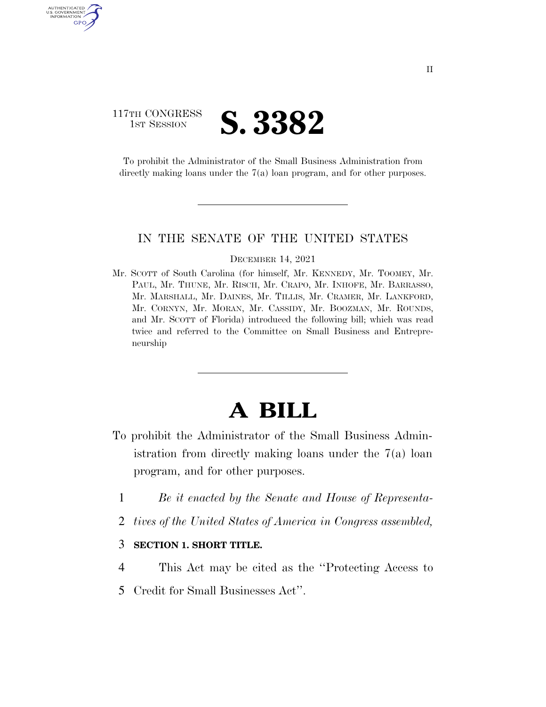## 117TH CONGRESS **1ST SESSION S. 3382**

AUTHENTICATED U.S. GOVERNMENT GPO

> To prohibit the Administrator of the Small Business Administration from directly making loans under the 7(a) loan program, and for other purposes.

### IN THE SENATE OF THE UNITED STATES

#### DECEMBER 14, 2021

Mr. SCOTT of South Carolina (for himself, Mr. KENNEDY, Mr. TOOMEY, Mr. PAUL, Mr. THUNE, Mr. RISCH, Mr. CRAPO, Mr. INHOFE, Mr. BARRASSO, Mr. MARSHALL, Mr. DAINES, Mr. TILLIS, Mr. CRAMER, Mr. LANKFORD, Mr. CORNYN, Mr. MORAN, Mr. CASSIDY, Mr. BOOZMAN, Mr. ROUNDS, and Mr. SCOTT of Florida) introduced the following bill; which was read twice and referred to the Committee on Small Business and Entrepreneurship

# **A BILL**

- To prohibit the Administrator of the Small Business Administration from directly making loans under the 7(a) loan program, and for other purposes.
	- 1 *Be it enacted by the Senate and House of Representa-*
	- 2 *tives of the United States of America in Congress assembled,*

### 3 **SECTION 1. SHORT TITLE.**

- 4 This Act may be cited as the ''Protecting Access to
- 5 Credit for Small Businesses Act''.